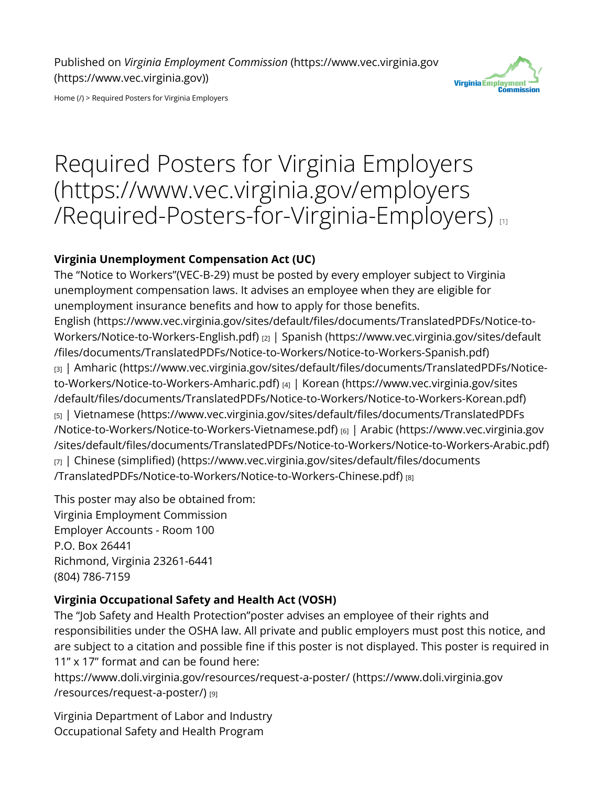

[Home \(/\)](https://www.vec.virginia.gov/) > Required Posters for Virginia Employers

# [Required Posters for Virginia Employers](https://www.vec.virginia.gov/employers/Required-Posters-for-Virginia-Employers) [\(https://www.vec.virginia.gov/employers](https://www.vec.virginia.gov/employers/Required-Posters-for-Virginia-Employers) [/Required-Posters-for-Virginia-Employers\)](https://www.vec.virginia.gov/employers/Required-Posters-for-Virginia-Employers) [1]

#### **Virginia Unemployment Compensation Act (UC)**

The "Notice to Workers"(VEC-B-29) must be posted by every employer subject to Virginia unemployment compensation laws. It advises an employee when they are eligible for unemployment insurance benefits and how to apply for those benefits. [English \(https://www.vec.virginia.gov/sites/default/Ples/documents/TranslatedPDFs/Notice-to-](https://www.vec.virginia.gov/sites/default/files/documents/TranslatedPDFs/Notice-to-Workers/Notice-to-Workers-English.pdf)[Workers/Notice-to-Workers-English.pdf\)](https://www.vec.virginia.gov/sites/default/files/documents/TranslatedPDFs/Notice-to-Workers/Notice-to-Workers-English.pdf) [2] | [Spanish \(https://www.vec.virginia.gov/sites/default](https://www.vec.virginia.gov/sites/default/files/documents/TranslatedPDFs/Notice-to-Workers/Notice-to-Workers-Spanish.pdf) [/Ples/documents/TranslatedPDFs/Notice-to-Workers/Notice-to-Workers-Spanish.pdf\)](https://www.vec.virginia.gov/sites/default/files/documents/TranslatedPDFs/Notice-to-Workers/Notice-to-Workers-Spanish.pdf) [3] | Amharic (https://www.vec.virginia.gov/sites/default/files/documents/TranslatedPDFs/Notice[to-Workers/Notice-to-Workers-Amharic.pdf\)](https://www.vec.virginia.gov/sites/default/files/documents/TranslatedPDFs/Notice-to-Workers/Notice-to-Workers-Amharic.pdf) [4] | [Korean \(https://www.vec.virginia.gov/sites](https://www.vec.virginia.gov/sites/default/files/documents/TranslatedPDFs/Notice-to-Workers/Notice-to-Workers-Korean.pdf) [/default/Ples/documents/TranslatedPDFs/Notice-to-Workers/Notice-to-Workers-Korean.pdf\)](https://www.vec.virginia.gov/sites/default/files/documents/TranslatedPDFs/Notice-to-Workers/Notice-to-Workers-Korean.pdf) [5] | Vietnamese (https://www.vec.virginia.gov/sites/default/files/documents/TranslatedPDFs [/Notice-to-Workers/Notice-to-Workers-Vietnamese.pdf\)](https://www.vec.virginia.gov/sites/default/files/documents/TranslatedPDFs/Notice-to-Workers/Notice-to-Workers-Vietnamese.pdf) [6] | [Arabic \(https://www.vec.virginia.gov](https://www.vec.virginia.gov/sites/default/files/documents/TranslatedPDFs/Notice-to-Workers/Notice-to-Workers-Arabic.pdf) [/sites/default/Ples/documents/TranslatedPDFs/Notice-to-Workers/Notice-to-Workers-Arabic.pdf\)](https://www.vec.virginia.gov/sites/default/files/documents/TranslatedPDFs/Notice-to-Workers/Notice-to-Workers-Arabic.pdf) [7] | Chinese (simplified) (https://www.vec.virginia.gov/sites/default/files/documents [/TranslatedPDFs/Notice-to-Workers/Notice-to-Workers-Chinese.pdf\)](https://www.vec.virginia.gov/sites/default/files/documents/TranslatedPDFs/Notice-to-Workers/Notice-to-Workers-Chinese.pdf) [8]

This poster may also be obtained from: Virginia Employment Commission Employer Accounts - Room 100 P.O. Box 26441 Richmond, Virginia 23261-6441 (804) 786-7159

#### **Virginia Occupational Safety and Health Act (VOSH)**

The "Job Safety and Health Protection"poster advises an employee of their rights and responsibilities under the OSHA law. All private and public employers must post this notice, and are subject to a citation and possible fine if this poster is not displayed. This poster is required in 11" x 17" format and can be found here:

[https://www.doli.virginia.gov/resources/request-a-poster/ \(https://www.doli.virginia.gov](https://www.doli.virginia.gov/resources/request-a-poster/) [/resources/request-a-poster/\)](https://www.doli.virginia.gov/resources/request-a-poster/) [9]

Virginia Department of Labor and Industry Occupational Safety and Health Program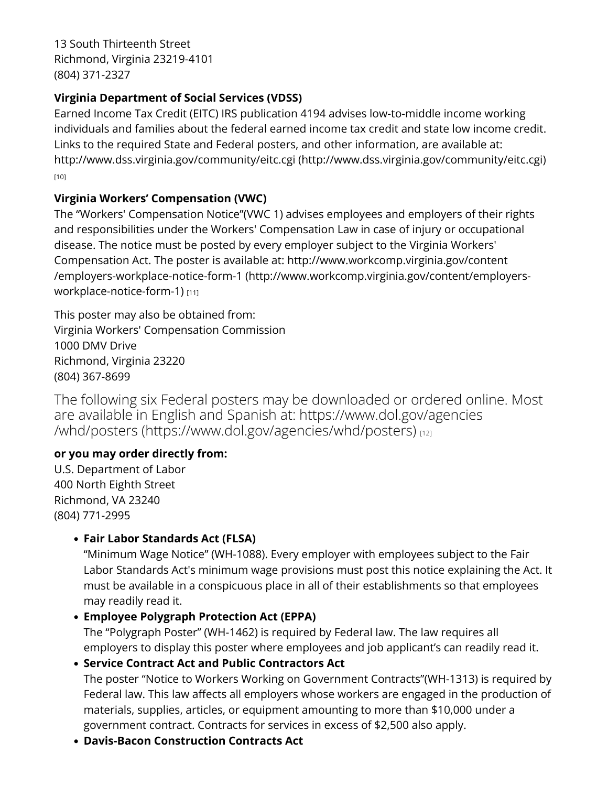13 South Thirteenth Street Richmond, Virginia 23219-4101 (804) 371-2327

#### **Virginia Department of Social Services (VDSS)**

Earned Income Tax Credit (EITC) IRS publication 4194 advises low-to-middle income working individuals and families about the federal earned income tax credit and state low income credit. Links to the required State and Federal posters, and other information, are available at: [http://www.dss.virginia.gov/community/eitc.cgi \(http://www.dss.virginia.gov/community/eitc.cgi\)](http://www.dss.virginia.gov/community/eitc.cgi) [10]

#### **Virginia Workers' Compensation (VWC)**

The "Workers' Compensation Notice"(VWC 1) advises employees and employers of their rights and responsibilities under the Workers' Compensation Law in case of injury or occupational disease. The notice must be posted by every employer subject to the Virginia Workers' Compensation Act. The poster is available at: [http://www.workcomp.virginia.gov/content](http://www.workcomp.virginia.gov/content/employers-workplace-notice-form-1) [/employers-workplace-notice-form-1 \(http://www.workcomp.virginia.gov/content/employers](http://www.workcomp.virginia.gov/content/employers-workplace-notice-form-1)[workplace-notice-form-1\)](http://www.workcomp.virginia.gov/content/employers-workplace-notice-form-1) [11]

This poster may also be obtained from: Virginia Workers' Compensation Commission 1000 DMV Drive Richmond, Virginia 23220 (804) 367-8699

The following six Federal posters may be downloaded or ordered online. Most are available in English and Spanish at: [https://www.dol.gov/agencies](https://www.dol.gov/agencies/whd/posters) [/whd/posters \(https://www.dol.gov/agencies/whd/posters\)](https://www.dol.gov/agencies/whd/posters) [12]

## **or you may order directly from:**

U.S. Department of Labor 400 North Eighth Street Richmond, VA 23240 (804) 771-2995

## • **Fair Labor Standards Act (FLSA)**

"Minimum Wage Notice" (WH-1088). Every employer with employees subject to the Fair Labor Standards Act's minimum wage provisions must post this notice explaining the Act. It must be available in a conspicuous place in all of their establishments so that employees may readily read it.

## • **Employee Polygraph Protection Act (EPPA)**

The "Polygraph Poster" (WH-1462) is required by Federal law. The law requires all employers to display this poster where employees and job applicant's can readily read it.

#### • **Service Contract Act and Public Contractors Act**

The poster "Notice to Workers Working on Government Contracts"(WH-1313) is required by Federal law. This law affects all employers whose workers are engaged in the production of materials, supplies, articles, or equipment amounting to more than \$10,000 under a government contract. Contracts for services in excess of \$2,500 also apply.

• **Davis-Bacon Construction Contracts Act**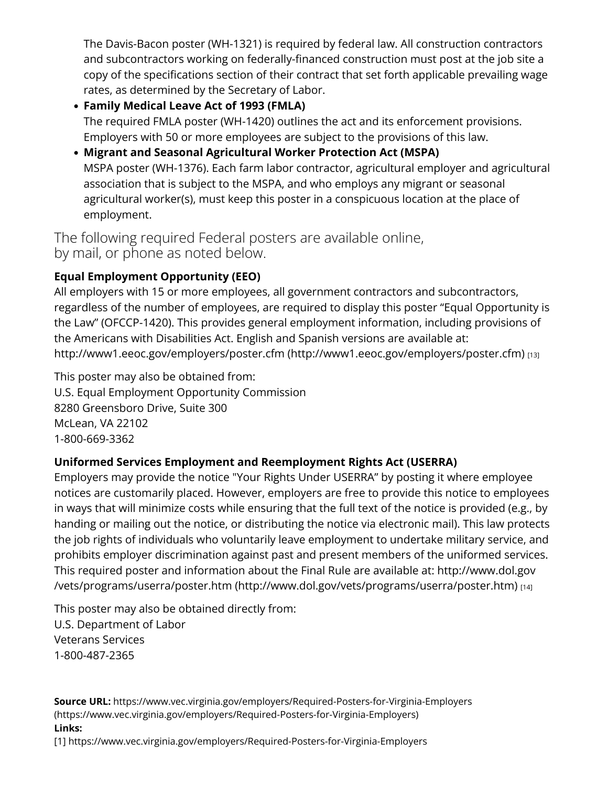The Davis-Bacon poster (WH-1321) is required by federal law. All construction contractors and subcontractors working on federally-financed construction must post at the job site a copy of the specifications section of their contract that set forth applicable prevailing wage rates, as determined by the Secretary of Labor.

- **Family Medical Leave Act of 1993 (FMLA)** The required FMLA poster (WH-1420) outlines the act and its enforcement provisions. Employers with 50 or more employees are subject to the provisions of this law.
- **Migrant and Seasonal Agricultural Worker Protection Act (MSPA)** MSPA poster (WH-1376). Each farm labor contractor, agricultural employer and agricultural association that is subject to the MSPA, and who employs any migrant or seasonal agricultural worker(s), must keep this poster in a conspicuous location at the place of employment.

The following required Federal posters are available online, by mail, or phone as noted below.

## **Equal Employment Opportunity (EEO)**

All employers with 15 or more employees, all government contractors and subcontractors, regardless of the number of employees, are required to display this poster "Equal Opportunity is the Law" (OFCCP-1420). This provides general employment information, including provisions of the Americans with Disabilities Act. English and Spanish versions are available at: [http://www1.eeoc.gov/employers/poster.cfm \(http://www1.eeoc.gov/employers/poster.cfm\)](http://www1.eeoc.gov/employers/poster.cfm) [13]

This poster may also be obtained from: U.S. Equal Employment Opportunity Commission 8280 Greensboro Drive, Suite 300 McLean, VA 22102 1-800-669-3362

## **Uniformed Services Employment and Reemployment Rights Act (USERRA)**

Employers may provide the notice "Your Rights Under USERRA" by posting it where employee notices are customarily placed. However, employers are free to provide this notice to employees in ways that will minimize costs while ensuring that the full text of the notice is provided (e.g., by handing or mailing out the notice, or distributing the notice via electronic mail). This law protects the job rights of individuals who voluntarily leave employment to undertake military service, and prohibits employer discrimination against past and present members of the uniformed services. This required poster and information about the Final Rule are available at: [http://www.dol.gov](http://www.dol.gov/vets/programs/userra/poster.htm) [/vets/programs/userra/poster.htm \(http://www.dol.gov/vets/programs/userra/poster.htm\)](http://www.dol.gov/vets/programs/userra/poster.htm) [14]

This poster may also be obtained directly from: U.S. Department of Labor Veterans Services 1-800-487-2365

**Source URL:** <https://www.vec.virginia.gov/employers/Required-Posters-for-Virginia-Employers> [\(https://www.vec.virginia.gov/employers/Required-Posters-for-Virginia-Employers\)](https://www.vec.virginia.gov/employers/Required-Posters-for-Virginia-Employers) **Links:**

[1] https://www.vec.virginia.gov/employers/Required-Posters-for-Virginia-Employers